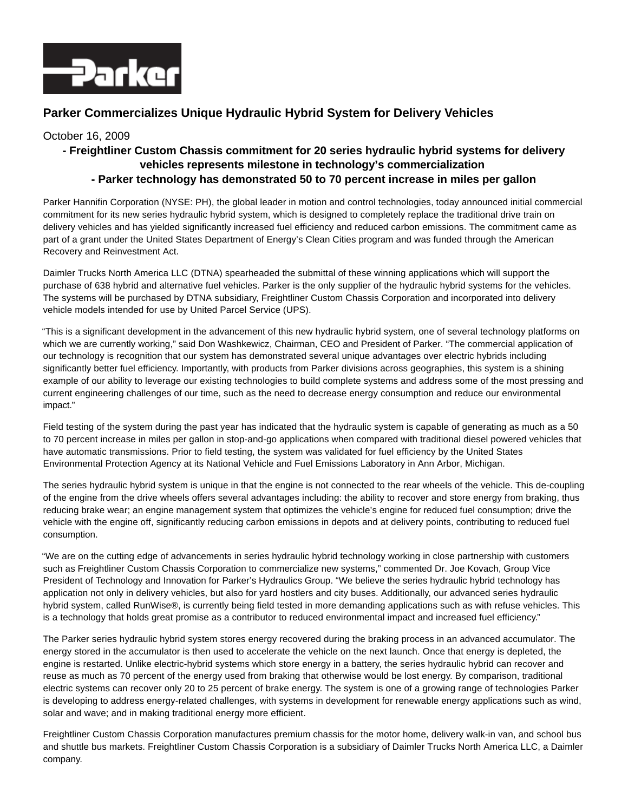

## **Parker Commercializes Unique Hydraulic Hybrid System for Delivery Vehicles**

## October 16, 2009

## **- Freightliner Custom Chassis commitment for 20 series hydraulic hybrid systems for delivery vehicles represents milestone in technology's commercialization - Parker technology has demonstrated 50 to 70 percent increase in miles per gallon**

Parker Hannifin Corporation (NYSE: PH), the global leader in motion and control technologies, today announced initial commercial commitment for its new series hydraulic hybrid system, which is designed to completely replace the traditional drive train on delivery vehicles and has yielded significantly increased fuel efficiency and reduced carbon emissions. The commitment came as part of a grant under the United States Department of Energy's Clean Cities program and was funded through the American Recovery and Reinvestment Act.

Daimler Trucks North America LLC (DTNA) spearheaded the submittal of these winning applications which will support the purchase of 638 hybrid and alternative fuel vehicles. Parker is the only supplier of the hydraulic hybrid systems for the vehicles. The systems will be purchased by DTNA subsidiary, Freightliner Custom Chassis Corporation and incorporated into delivery vehicle models intended for use by United Parcel Service (UPS).

"This is a significant development in the advancement of this new hydraulic hybrid system, one of several technology platforms on which we are currently working," said Don Washkewicz, Chairman, CEO and President of Parker. "The commercial application of our technology is recognition that our system has demonstrated several unique advantages over electric hybrids including significantly better fuel efficiency. Importantly, with products from Parker divisions across geographies, this system is a shining example of our ability to leverage our existing technologies to build complete systems and address some of the most pressing and current engineering challenges of our time, such as the need to decrease energy consumption and reduce our environmental impact."

Field testing of the system during the past year has indicated that the hydraulic system is capable of generating as much as a 50 to 70 percent increase in miles per gallon in stop-and-go applications when compared with traditional diesel powered vehicles that have automatic transmissions. Prior to field testing, the system was validated for fuel efficiency by the United States Environmental Protection Agency at its National Vehicle and Fuel Emissions Laboratory in Ann Arbor, Michigan.

The series hydraulic hybrid system is unique in that the engine is not connected to the rear wheels of the vehicle. This de-coupling of the engine from the drive wheels offers several advantages including: the ability to recover and store energy from braking, thus reducing brake wear; an engine management system that optimizes the vehicle's engine for reduced fuel consumption; drive the vehicle with the engine off, significantly reducing carbon emissions in depots and at delivery points, contributing to reduced fuel consumption.

"We are on the cutting edge of advancements in series hydraulic hybrid technology working in close partnership with customers such as Freightliner Custom Chassis Corporation to commercialize new systems," commented Dr. Joe Kovach, Group Vice President of Technology and Innovation for Parker's Hydraulics Group. "We believe the series hydraulic hybrid technology has application not only in delivery vehicles, but also for yard hostlers and city buses. Additionally, our advanced series hydraulic hybrid system, called RunWise®, is currently being field tested in more demanding applications such as with refuse vehicles. This is a technology that holds great promise as a contributor to reduced environmental impact and increased fuel efficiency."

The Parker series hydraulic hybrid system stores energy recovered during the braking process in an advanced accumulator. The energy stored in the accumulator is then used to accelerate the vehicle on the next launch. Once that energy is depleted, the engine is restarted. Unlike electric-hybrid systems which store energy in a battery, the series hydraulic hybrid can recover and reuse as much as 70 percent of the energy used from braking that otherwise would be lost energy. By comparison, traditional electric systems can recover only 20 to 25 percent of brake energy. The system is one of a growing range of technologies Parker is developing to address energy-related challenges, with systems in development for renewable energy applications such as wind, solar and wave; and in making traditional energy more efficient.

Freightliner Custom Chassis Corporation manufactures premium chassis for the motor home, delivery walk-in van, and school bus and shuttle bus markets. Freightliner Custom Chassis Corporation is a subsidiary of Daimler Trucks North America LLC, a Daimler company.